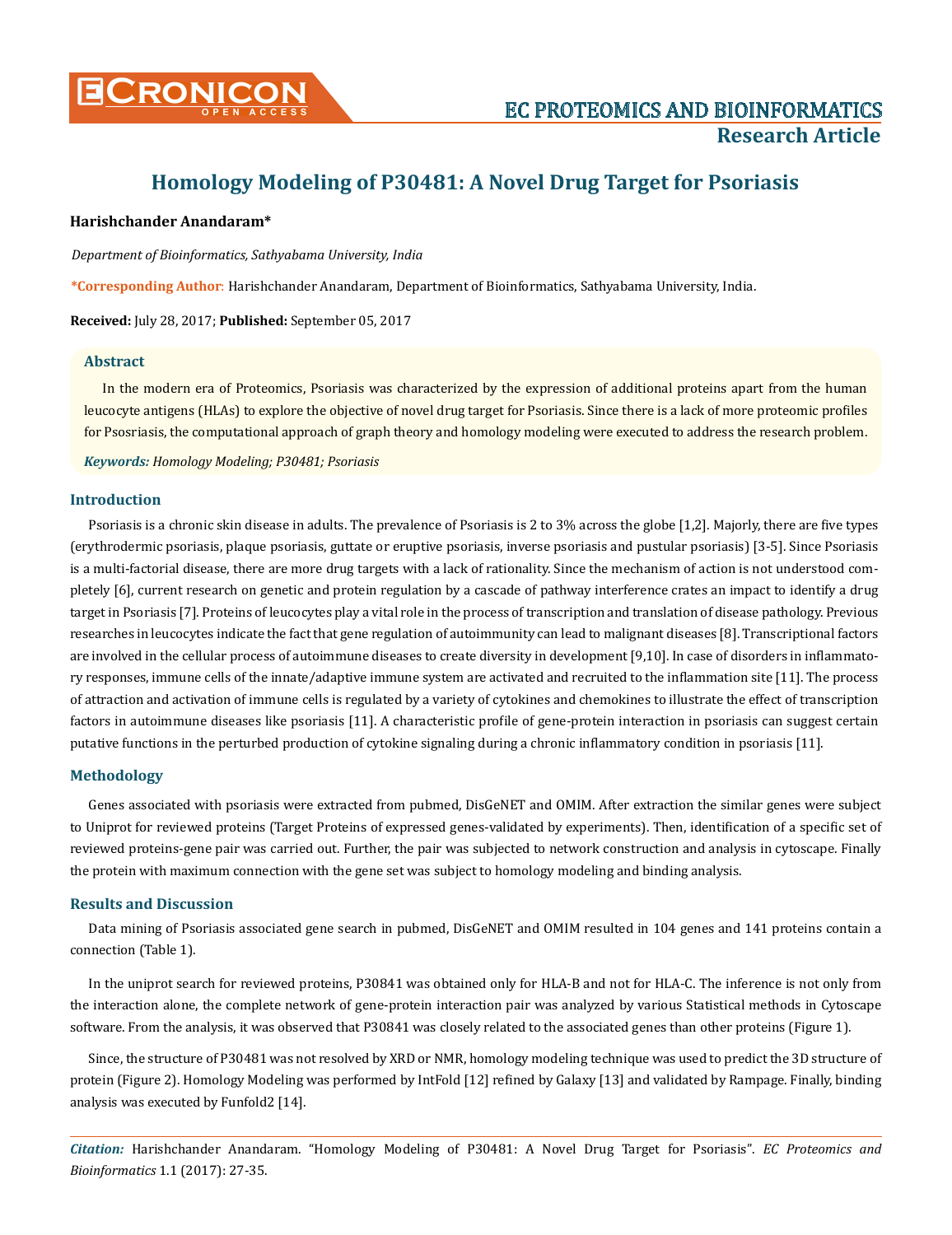

# **Homology Modeling of P30481: A Novel Drug Target for Psoriasis**

### **Harishchander Anandaram\***

*Department of Bioinformatics, Sathyabama University, India*

**\*Corresponding Author**: Harishchander Anandaram, Department of Bioinformatics, Sathyabama University, India.

**Received:** July 28, 2017; **Published:** September 05, 2017

#### **Abstract**

In the modern era of Proteomics, Psoriasis was characterized by the expression of additional proteins apart from the human leucocyte antigens (HLAs) to explore the objective of novel drug target for Psoriasis. Since there is a lack of more proteomic profiles for Psosriasis, the computational approach of graph theory and homology modeling were executed to address the research problem.

*Keywords: Homology Modeling; P30481; Psoriasis*

#### **Introduction**

Psoriasis is a chronic skin disease in adults. The prevalence of Psoriasis is 2 to 3% across the globe [1,2]. Majorly, there are five types (erythrodermic psoriasis, plaque psoriasis, guttate or eruptive psoriasis, inverse psoriasis and pustular psoriasis) [3-5]. Since Psoriasis is a multi-factorial disease, there are more drug targets with a lack of rationality. Since the mechanism of action is not understood completely [6], current research on genetic and protein regulation by a cascade of pathway interference crates an impact to identify a drug target in Psoriasis [7]. Proteins of leucocytes play a vital role in the process of transcription and translation of disease pathology. Previous researches in leucocytes indicate the fact that gene regulation of autoimmunity can lead to malignant diseases [8]. Transcriptional factors are involved in the cellular process of autoimmune diseases to create diversity in development [9,10]. In case of disorders in inflammatory responses, immune cells of the innate/adaptive immune system are activated and recruited to the inflammation site [11]. The process of attraction and activation of immune cells is regulated by a variety of cytokines and chemokines to illustrate the effect of transcription factors in autoimmune diseases like psoriasis [11]. A characteristic profile of gene-protein interaction in psoriasis can suggest certain putative functions in the perturbed production of cytokine signaling during a chronic inflammatory condition in psoriasis [11].

#### **Methodology**

Genes associated with psoriasis were extracted from pubmed, DisGeNET and OMIM. After extraction the similar genes were subject to Uniprot for reviewed proteins (Target Proteins of expressed genes-validated by experiments). Then, identification of a specific set of reviewed proteins-gene pair was carried out. Further, the pair was subjected to network construction and analysis in cytoscape. Finally the protein with maximum connection with the gene set was subject to homology modeling and binding analysis.

#### **Results and Discussion**

Data mining of Psoriasis associated gene search in pubmed, DisGeNET and OMIM resulted in 104 genes and 141 proteins contain a connection (Table 1).

In the uniprot search for reviewed proteins, P30841 was obtained only for HLA-B and not for HLA-C. The inference is not only from the interaction alone, the complete network of gene-protein interaction pair was analyzed by various Statistical methods in Cytoscape software. From the analysis, it was observed that P30841 was closely related to the associated genes than other proteins (Figure 1).

Since, the structure of P30481 was not resolved by XRD or NMR, homology modeling technique was used to predict the 3D structure of protein (Figure 2). Homology Modeling was performed by IntFold [12] refined by Galaxy [13] and validated by Rampage. Finally, binding analysis was executed by Funfold2 [14].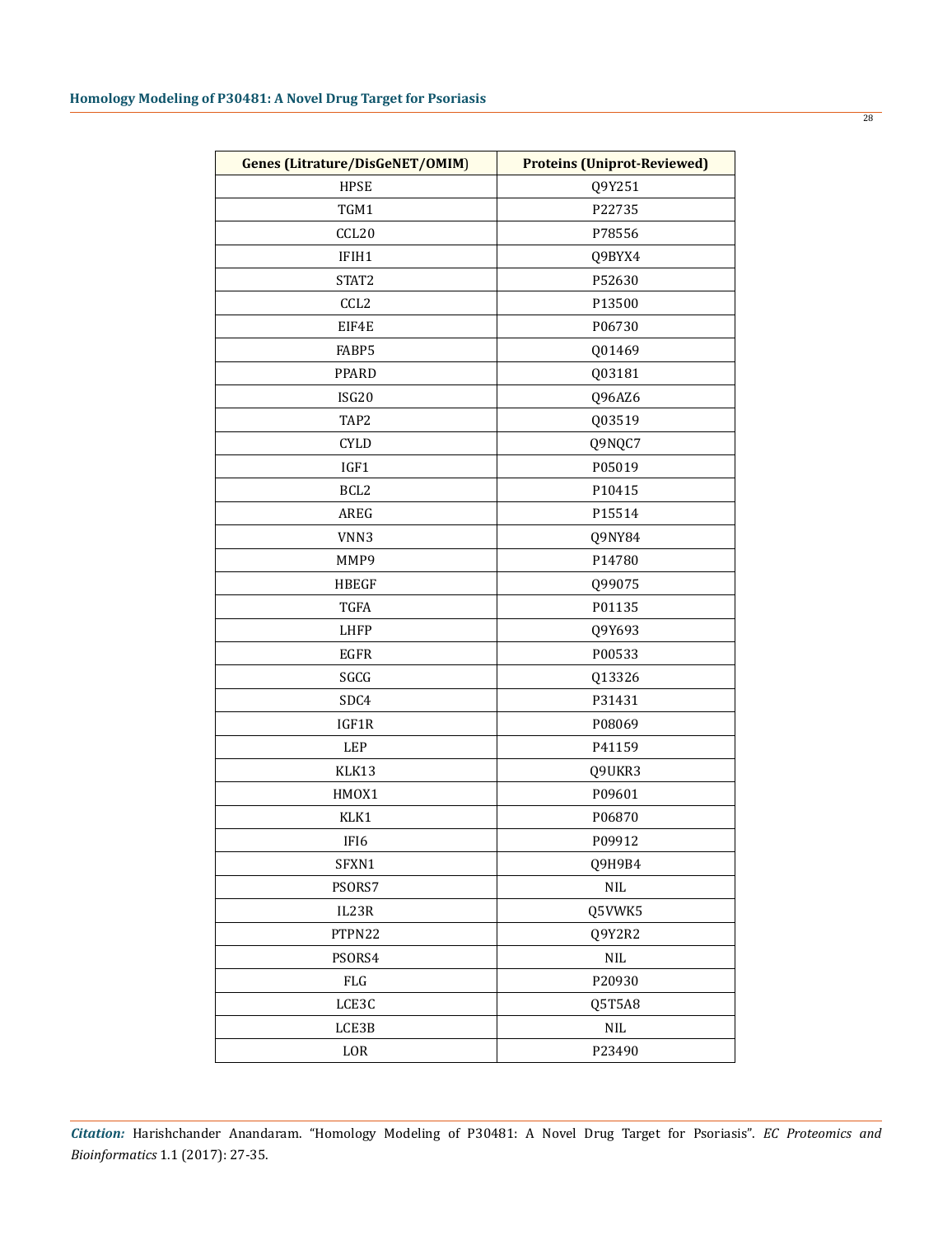| <b>HPSE</b><br>Q9Y251<br>P22735<br>TGM1<br>CCL20<br>P78556<br>IFIH1<br>Q9BYX4<br>STAT2<br>P52630<br>CCL <sub>2</sub><br>P13500<br>EIF4E<br>P06730<br>FABP5<br>Q01469<br>Q03181<br>PPARD<br>ISG20<br>Q96AZ6<br>TAP2<br>Q03519<br><b>CYLD</b><br>Q9NQC7<br>P05019<br>IGF1<br>BCL <sub>2</sub><br>P10415<br>AREG<br>P15514<br>VNN3<br>Q9NY84<br>MMP9<br>P14780<br><b>HBEGF</b><br>Q99075<br><b>TGFA</b><br>P01135<br><b>LHFP</b><br>Q9Y693<br>EGFR<br>P00533<br>SGCG<br>Q13326<br>SDC4<br>P31431<br>IGF1R<br>P08069<br>LEP<br>P41159<br>KLK13<br>Q9UKR3<br>HMOX1<br>P09601<br>KLK1<br>P06870<br>P09912<br>IF <sub>I6</sub><br>SFXN1<br>Q9H9B4<br>PSORS7<br>$\rm NIL$<br>IL23R<br>Q5VWK5<br>PTPN22<br>Q9Y2R2<br>PSORS4<br>$\rm NIL$<br>P20930<br>${\rm FLG}$<br>LCE3C<br>Q5T5A8<br>LCE3B<br>$\rm NIL$<br>LOR<br>P23490 | <b>Genes (Litrature/DisGeNET/OMIM)</b> | <b>Proteins (Uniprot-Reviewed)</b> |  |  |
|--------------------------------------------------------------------------------------------------------------------------------------------------------------------------------------------------------------------------------------------------------------------------------------------------------------------------------------------------------------------------------------------------------------------------------------------------------------------------------------------------------------------------------------------------------------------------------------------------------------------------------------------------------------------------------------------------------------------------------------------------------------------------------------------------------------------|----------------------------------------|------------------------------------|--|--|
|                                                                                                                                                                                                                                                                                                                                                                                                                                                                                                                                                                                                                                                                                                                                                                                                                    |                                        |                                    |  |  |
|                                                                                                                                                                                                                                                                                                                                                                                                                                                                                                                                                                                                                                                                                                                                                                                                                    |                                        |                                    |  |  |
|                                                                                                                                                                                                                                                                                                                                                                                                                                                                                                                                                                                                                                                                                                                                                                                                                    |                                        |                                    |  |  |
|                                                                                                                                                                                                                                                                                                                                                                                                                                                                                                                                                                                                                                                                                                                                                                                                                    |                                        |                                    |  |  |
|                                                                                                                                                                                                                                                                                                                                                                                                                                                                                                                                                                                                                                                                                                                                                                                                                    |                                        |                                    |  |  |
|                                                                                                                                                                                                                                                                                                                                                                                                                                                                                                                                                                                                                                                                                                                                                                                                                    |                                        |                                    |  |  |
|                                                                                                                                                                                                                                                                                                                                                                                                                                                                                                                                                                                                                                                                                                                                                                                                                    |                                        |                                    |  |  |
|                                                                                                                                                                                                                                                                                                                                                                                                                                                                                                                                                                                                                                                                                                                                                                                                                    |                                        |                                    |  |  |
|                                                                                                                                                                                                                                                                                                                                                                                                                                                                                                                                                                                                                                                                                                                                                                                                                    |                                        |                                    |  |  |
|                                                                                                                                                                                                                                                                                                                                                                                                                                                                                                                                                                                                                                                                                                                                                                                                                    |                                        |                                    |  |  |
|                                                                                                                                                                                                                                                                                                                                                                                                                                                                                                                                                                                                                                                                                                                                                                                                                    |                                        |                                    |  |  |
|                                                                                                                                                                                                                                                                                                                                                                                                                                                                                                                                                                                                                                                                                                                                                                                                                    |                                        |                                    |  |  |
|                                                                                                                                                                                                                                                                                                                                                                                                                                                                                                                                                                                                                                                                                                                                                                                                                    |                                        |                                    |  |  |
|                                                                                                                                                                                                                                                                                                                                                                                                                                                                                                                                                                                                                                                                                                                                                                                                                    |                                        |                                    |  |  |
|                                                                                                                                                                                                                                                                                                                                                                                                                                                                                                                                                                                                                                                                                                                                                                                                                    |                                        |                                    |  |  |
|                                                                                                                                                                                                                                                                                                                                                                                                                                                                                                                                                                                                                                                                                                                                                                                                                    |                                        |                                    |  |  |
|                                                                                                                                                                                                                                                                                                                                                                                                                                                                                                                                                                                                                                                                                                                                                                                                                    |                                        |                                    |  |  |
|                                                                                                                                                                                                                                                                                                                                                                                                                                                                                                                                                                                                                                                                                                                                                                                                                    |                                        |                                    |  |  |
|                                                                                                                                                                                                                                                                                                                                                                                                                                                                                                                                                                                                                                                                                                                                                                                                                    |                                        |                                    |  |  |
|                                                                                                                                                                                                                                                                                                                                                                                                                                                                                                                                                                                                                                                                                                                                                                                                                    |                                        |                                    |  |  |
|                                                                                                                                                                                                                                                                                                                                                                                                                                                                                                                                                                                                                                                                                                                                                                                                                    |                                        |                                    |  |  |
|                                                                                                                                                                                                                                                                                                                                                                                                                                                                                                                                                                                                                                                                                                                                                                                                                    |                                        |                                    |  |  |
|                                                                                                                                                                                                                                                                                                                                                                                                                                                                                                                                                                                                                                                                                                                                                                                                                    |                                        |                                    |  |  |
|                                                                                                                                                                                                                                                                                                                                                                                                                                                                                                                                                                                                                                                                                                                                                                                                                    |                                        |                                    |  |  |
|                                                                                                                                                                                                                                                                                                                                                                                                                                                                                                                                                                                                                                                                                                                                                                                                                    |                                        |                                    |  |  |
|                                                                                                                                                                                                                                                                                                                                                                                                                                                                                                                                                                                                                                                                                                                                                                                                                    |                                        |                                    |  |  |
|                                                                                                                                                                                                                                                                                                                                                                                                                                                                                                                                                                                                                                                                                                                                                                                                                    |                                        |                                    |  |  |
|                                                                                                                                                                                                                                                                                                                                                                                                                                                                                                                                                                                                                                                                                                                                                                                                                    |                                        |                                    |  |  |
|                                                                                                                                                                                                                                                                                                                                                                                                                                                                                                                                                                                                                                                                                                                                                                                                                    |                                        |                                    |  |  |
|                                                                                                                                                                                                                                                                                                                                                                                                                                                                                                                                                                                                                                                                                                                                                                                                                    |                                        |                                    |  |  |
|                                                                                                                                                                                                                                                                                                                                                                                                                                                                                                                                                                                                                                                                                                                                                                                                                    |                                        |                                    |  |  |
|                                                                                                                                                                                                                                                                                                                                                                                                                                                                                                                                                                                                                                                                                                                                                                                                                    |                                        |                                    |  |  |
|                                                                                                                                                                                                                                                                                                                                                                                                                                                                                                                                                                                                                                                                                                                                                                                                                    |                                        |                                    |  |  |
|                                                                                                                                                                                                                                                                                                                                                                                                                                                                                                                                                                                                                                                                                                                                                                                                                    |                                        |                                    |  |  |
|                                                                                                                                                                                                                                                                                                                                                                                                                                                                                                                                                                                                                                                                                                                                                                                                                    |                                        |                                    |  |  |
|                                                                                                                                                                                                                                                                                                                                                                                                                                                                                                                                                                                                                                                                                                                                                                                                                    |                                        |                                    |  |  |
|                                                                                                                                                                                                                                                                                                                                                                                                                                                                                                                                                                                                                                                                                                                                                                                                                    |                                        |                                    |  |  |
|                                                                                                                                                                                                                                                                                                                                                                                                                                                                                                                                                                                                                                                                                                                                                                                                                    |                                        |                                    |  |  |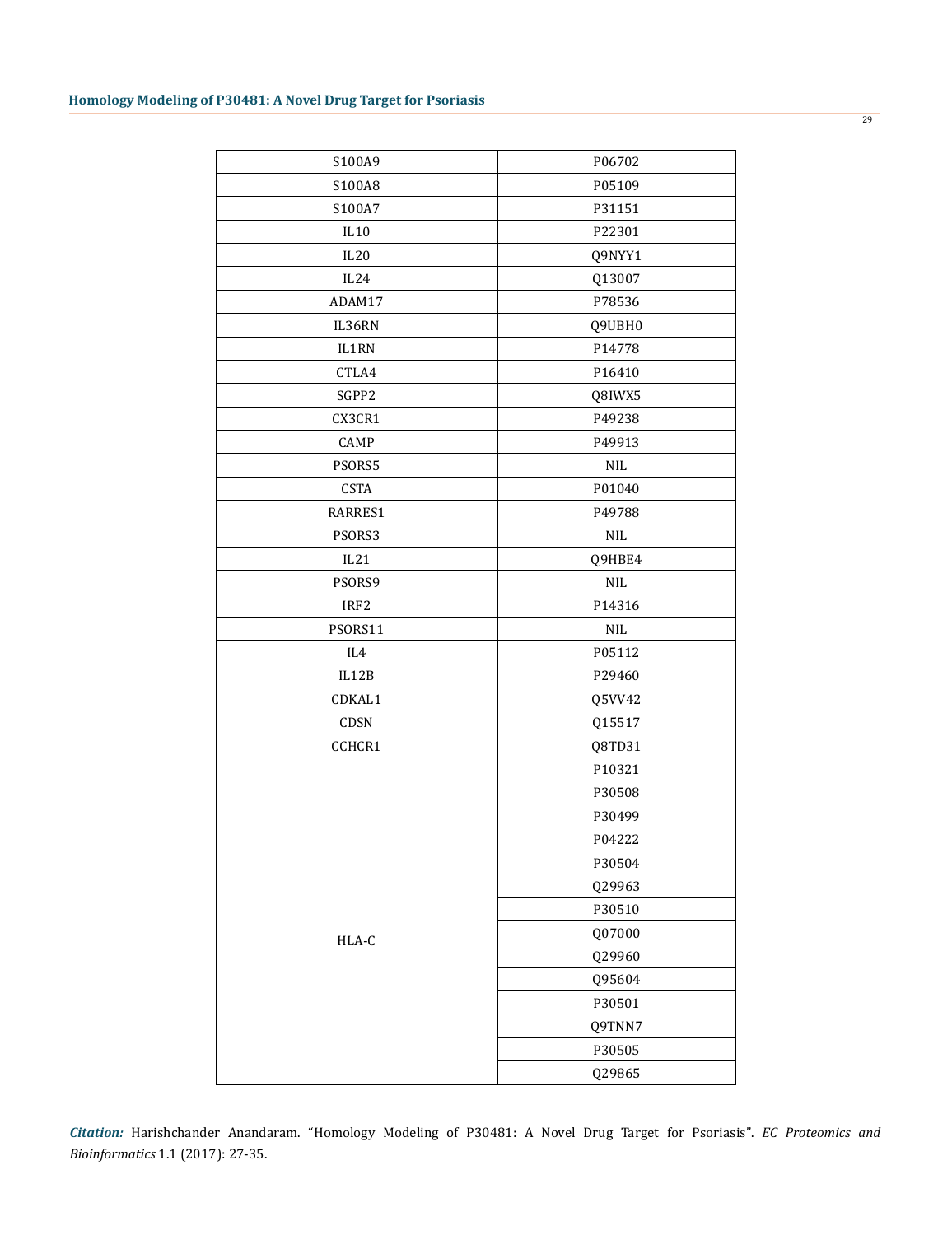| S100A9           | P06702     |  |
|------------------|------------|--|
| S100A8           | P05109     |  |
| S100A7           | P31151     |  |
| IL10             | P22301     |  |
| IL20             | Q9NYY1     |  |
| IL24             | Q13007     |  |
| ADAM17           | P78536     |  |
| IL36RN           | Q9UBH0     |  |
| IL1RN            | P14778     |  |
| CTLA4            | P16410     |  |
| SGPP2            | Q8IWX5     |  |
| CX3CR1           | P49238     |  |
| CAMP             | P49913     |  |
| PSORS5           | <b>NIL</b> |  |
| <b>CSTA</b>      | P01040     |  |
| RARRES1          | P49788     |  |
| PSORS3           | <b>NIL</b> |  |
| IL21             | Q9HBE4     |  |
| PSORS9           | <b>NIL</b> |  |
| IRF <sub>2</sub> | P14316     |  |
| PSORS11          | <b>NIL</b> |  |
| IL4              | P05112     |  |
| IL12B            | P29460     |  |
| CDKAL1           | Q5VV42     |  |
| CDSN             | Q15517     |  |
| CCHCR1           | Q8TD31     |  |
|                  | P10321     |  |
|                  | P30508     |  |
|                  | P30499     |  |
|                  | P04222     |  |
|                  | P30504     |  |
|                  | Q29963     |  |
|                  | P30510     |  |
| HLA-C            | Q07000     |  |
|                  | Q29960     |  |
|                  | Q95604     |  |
|                  | P30501     |  |
|                  | Q9TNN7     |  |
|                  | P30505     |  |
|                  | Q29865     |  |
|                  |            |  |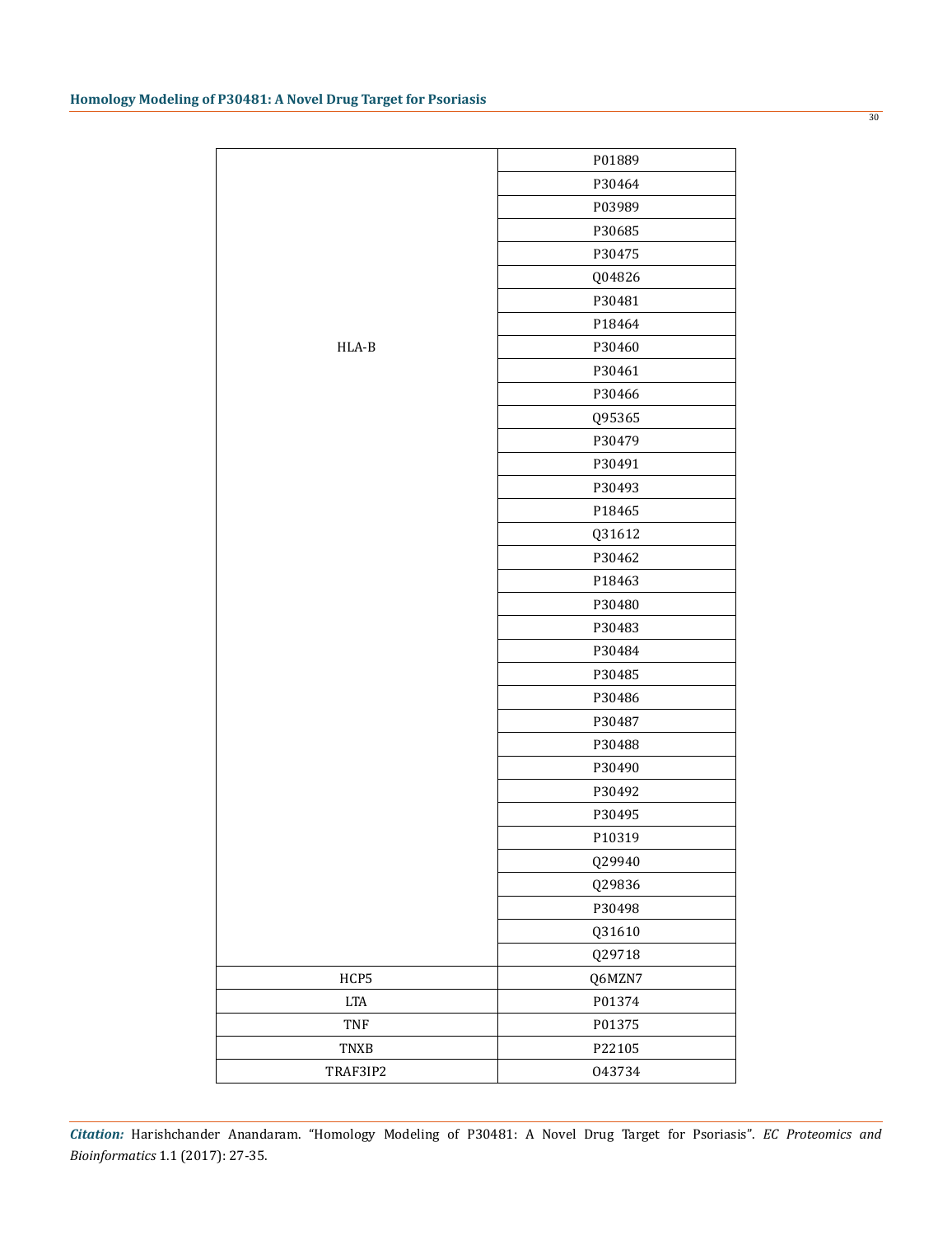|                           | P01889 |
|---------------------------|--------|
|                           | P30464 |
|                           | P03989 |
|                           | P30685 |
|                           | P30475 |
|                           | Q04826 |
|                           | P30481 |
|                           | P18464 |
| HLA-B                     | P30460 |
|                           | P30461 |
|                           | P30466 |
|                           | Q95365 |
|                           | P30479 |
|                           | P30491 |
|                           | P30493 |
|                           | P18465 |
|                           | Q31612 |
|                           | P30462 |
|                           | P18463 |
|                           | P30480 |
|                           | P30483 |
|                           | P30484 |
|                           | P30485 |
|                           | P30486 |
|                           | P30487 |
|                           | P30488 |
|                           | P30490 |
|                           | P30492 |
|                           | P30495 |
|                           | P10319 |
|                           | Q29940 |
|                           | Q29836 |
|                           | P30498 |
|                           | Q31610 |
|                           | Q29718 |
| HCP5                      | Q6MZN7 |
| $\ensuremath{\text{LTA}}$ | P01374 |
| TNF                       | P01375 |
| TNXB                      | P22105 |
| TRAF3IP2                  | 043734 |
|                           |        |

30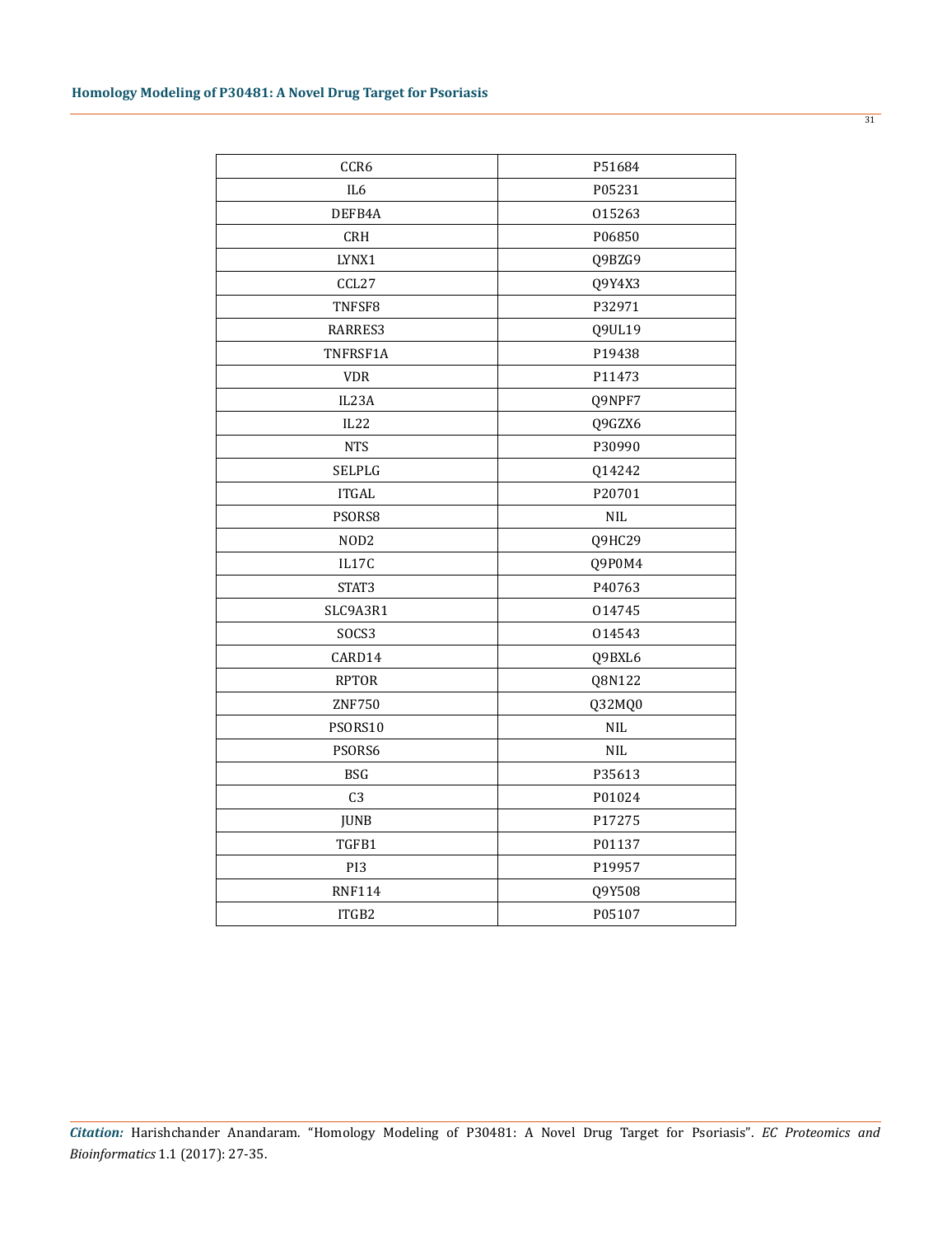| CCR6             | P51684     |  |  |
|------------------|------------|--|--|
| IL <sub>6</sub>  | P05231     |  |  |
| DEFB4A           | 015263     |  |  |
| CRH              | P06850     |  |  |
| LYNX1            | Q9BZG9     |  |  |
| CCL27            | Q9Y4X3     |  |  |
| TNFSF8           | P32971     |  |  |
| RARRES3          | Q9UL19     |  |  |
| TNFRSF1A         | P19438     |  |  |
| <b>VDR</b>       | P11473     |  |  |
| IL23A            | Q9NPF7     |  |  |
| IL22             | Q9GZX6     |  |  |
| <b>NTS</b>       | P30990     |  |  |
| SELPLG           | Q14242     |  |  |
| <b>ITGAL</b>     | P20701     |  |  |
| PSORS8           | <b>NIL</b> |  |  |
| NOD <sub>2</sub> | Q9HC29     |  |  |
| IL17C            | Q9P0M4     |  |  |
| STAT3            | P40763     |  |  |
| SLC9A3R1         | 014745     |  |  |
| SOCS3            | 014543     |  |  |
| CARD14           | Q9BXL6     |  |  |
| <b>RPTOR</b>     | Q8N122     |  |  |
| <b>ZNF750</b>    | Q32MQ0     |  |  |
| PSORS10          | $\rm NIL$  |  |  |
| PSORS6           | <b>NIL</b> |  |  |
| <b>BSG</b>       | P35613     |  |  |
| C <sub>3</sub>   | P01024     |  |  |
| <b>JUNB</b>      | P17275     |  |  |
| TGFB1            | P01137     |  |  |
| PI3              | P19957     |  |  |
| <b>RNF114</b>    | Q9Y508     |  |  |
| ITGB2<br>P05107  |            |  |  |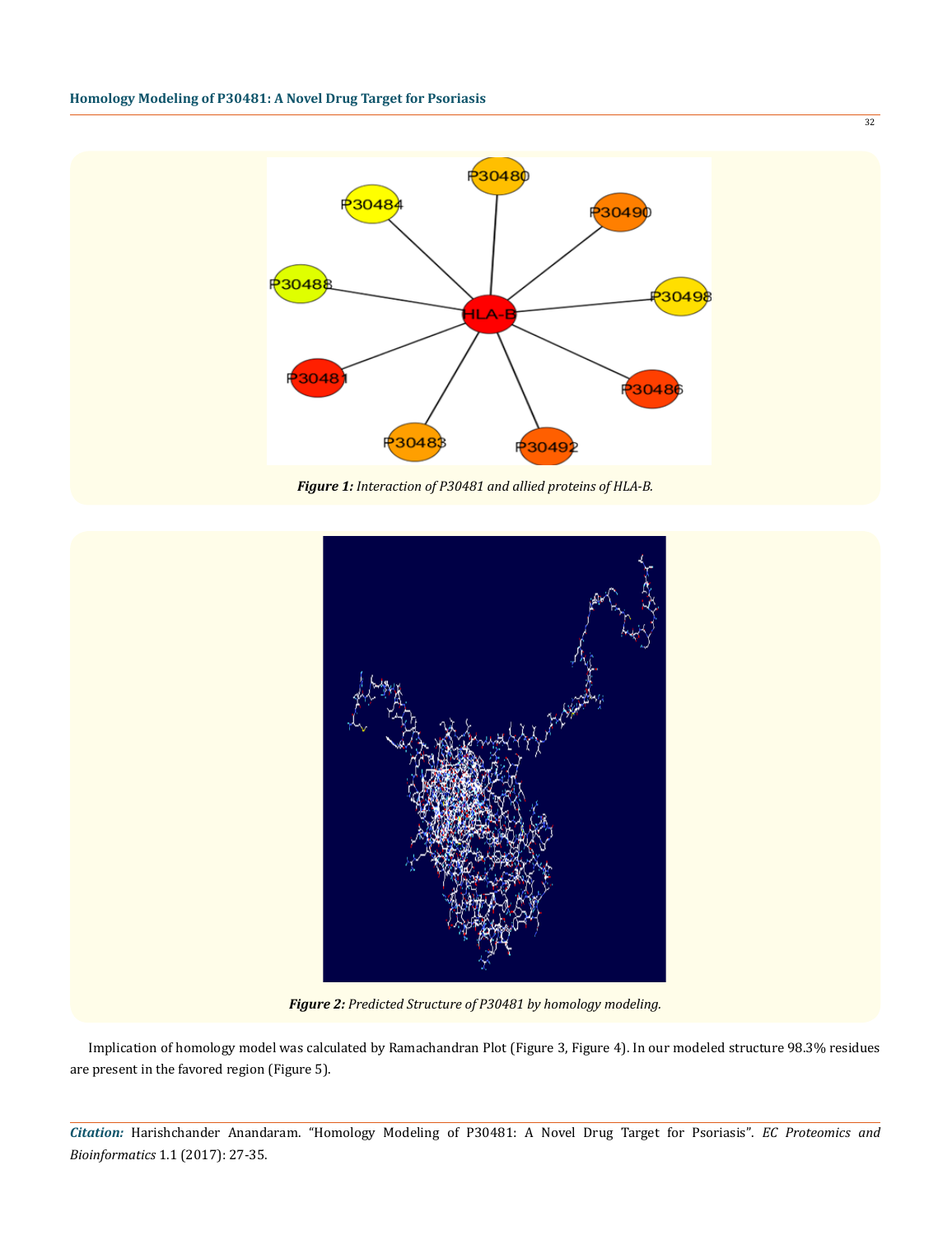

*Figure 1: Interaction of P30481 and allied proteins of HLA-B.*



*Figure 2: Predicted Structure of P30481 by homology modeling.*

Implication of homology model was calculated by Ramachandran Plot (Figure 3, Figure 4). In our modeled structure 98.3% residues are present in the favored region (Figure 5).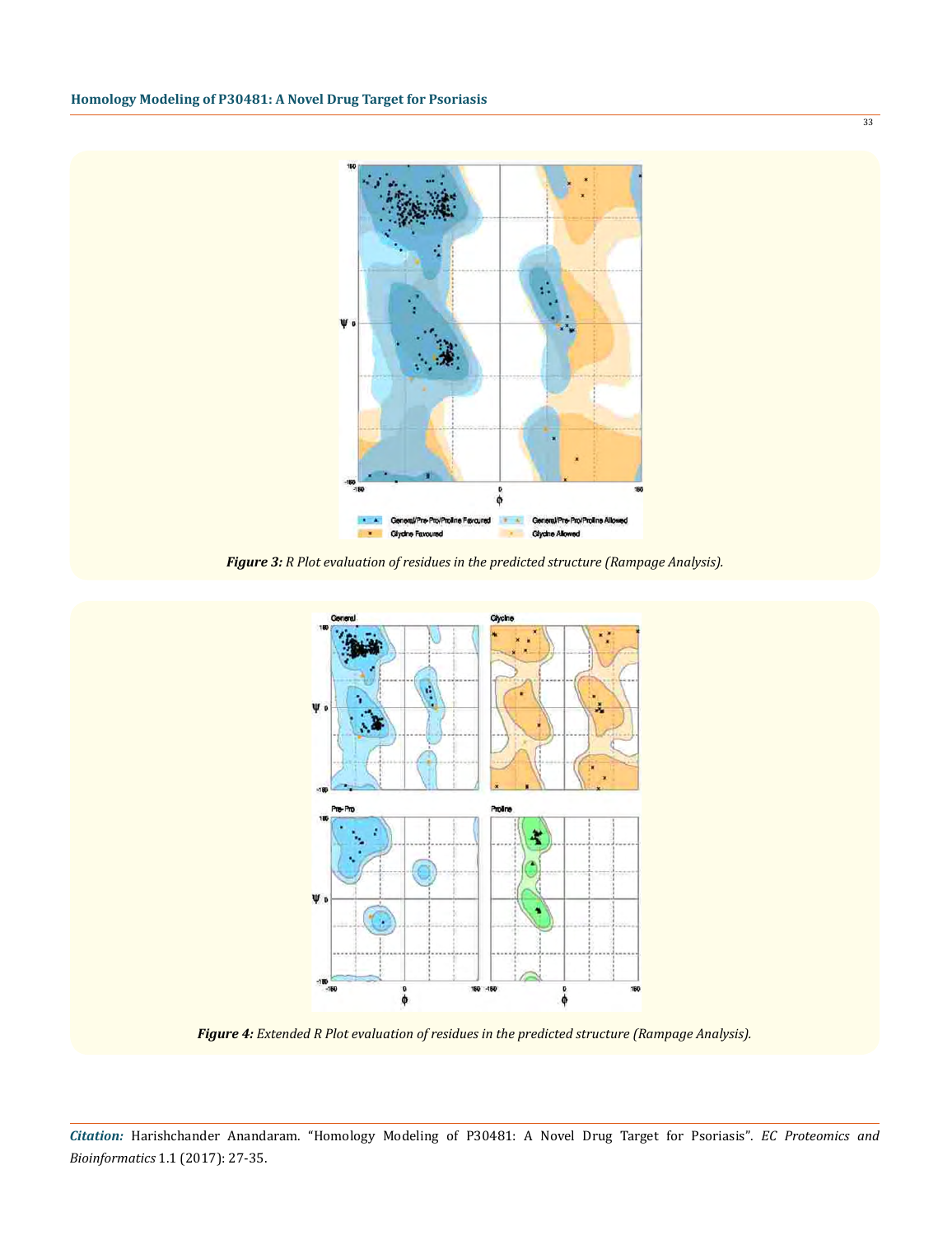

*Figure 3: R Plot evaluation of residues in the predicted structure (Rampage Analysis).*



*Figure 4: Extended R Plot evaluation of residues in the predicted structure (Rampage Analysis).*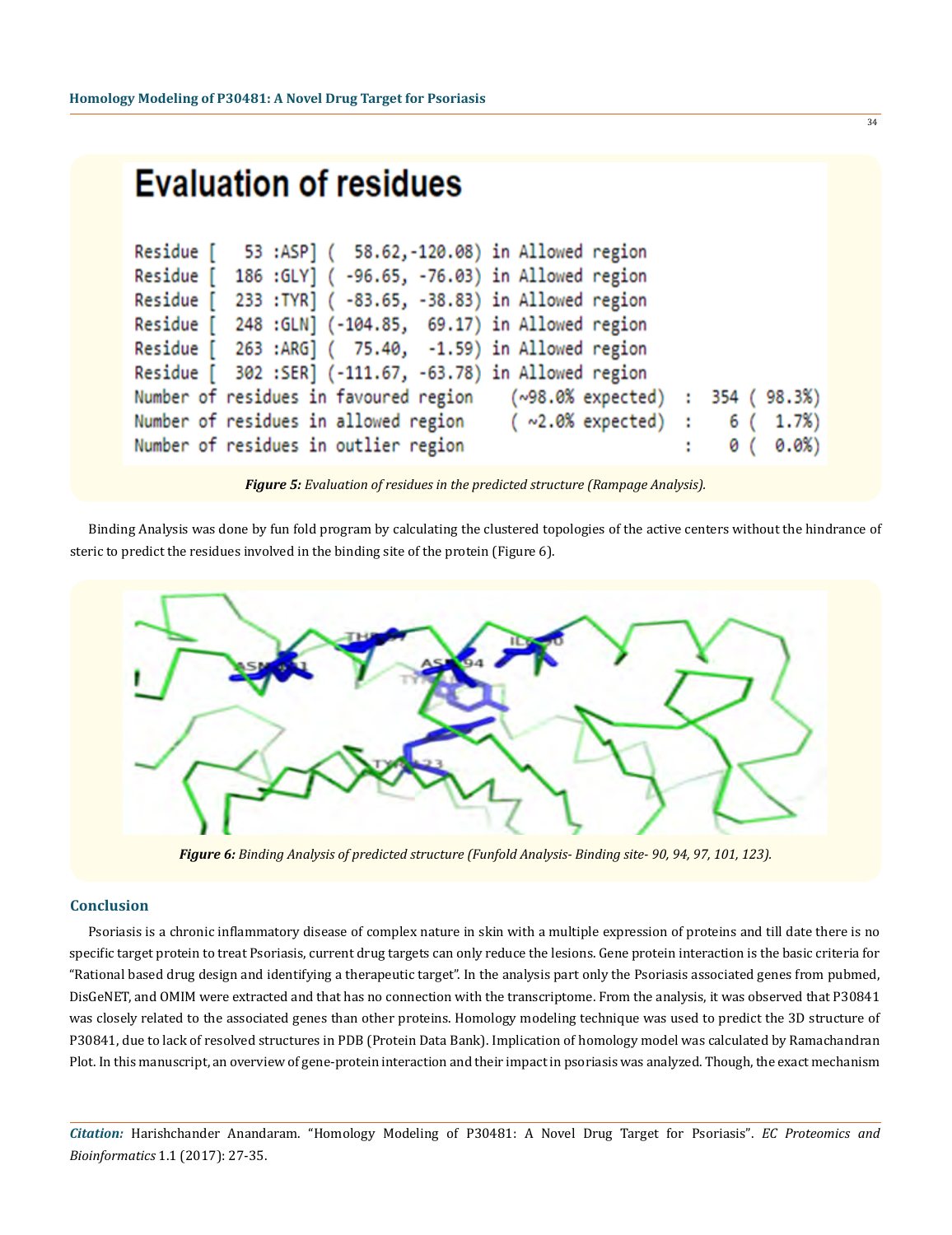| <b>Evaluation of residues</b>                                                                                                                                                                                                                                                                                                                                                                                                                                                                                                                    |   |                             |
|--------------------------------------------------------------------------------------------------------------------------------------------------------------------------------------------------------------------------------------------------------------------------------------------------------------------------------------------------------------------------------------------------------------------------------------------------------------------------------------------------------------------------------------------------|---|-----------------------------|
| 53 :ASP] (58.62,-120.08) in Allowed region<br>Residue [<br>Residue [ 186 : GLY] ( -96.65, -76.03) in Allowed region<br>Residue [ 233 : TYR] ( -83.65, -38.83) in Allowed region<br>Residue [ 248 : GLN] (-104.85, 69.17) in Allowed region<br>Residue [ 263 :ARG] ( 75.40, -1.59) in Allowed region<br>Residue [ 302 :SER] (-111.67, -63.78) in Allowed region<br>Number of residues in favoured region (~98.0% expected) : 354 (<br>Number of residues in allowed region $( \sim 2.0\%$ expected) : 6 (<br>Number of residues in outlier region | ÷ | 98.3%)<br>1.7%<br>0.0%<br>0 |

*Figure 5: Evaluation of residues in the predicted structure (Rampage Analysis).*

Binding Analysis was done by fun fold program by calculating the clustered topologies of the active centers without the hindrance of steric to predict the residues involved in the binding site of the protein (Figure 6).



*Figure 6: Binding Analysis of predicted structure (Funfold Analysis- Binding site- 90, 94, 97, 101, 123).*

#### **Conclusion**

Psoriasis is a chronic inflammatory disease of complex nature in skin with a multiple expression of proteins and till date there is no specific target protein to treat Psoriasis, current drug targets can only reduce the lesions. Gene protein interaction is the basic criteria for "Rational based drug design and identifying a therapeutic target". In the analysis part only the Psoriasis associated genes from pubmed, DisGeNET, and OMIM were extracted and that has no connection with the transcriptome. From the analysis, it was observed that P30841 was closely related to the associated genes than other proteins. Homology modeling technique was used to predict the 3D structure of P30841, due to lack of resolved structures in PDB (Protein Data Bank). Implication of homology model was calculated by Ramachandran Plot. In this manuscript, an overview of gene-protein interaction and their impact in psoriasis was analyzed. Though, the exact mechanism